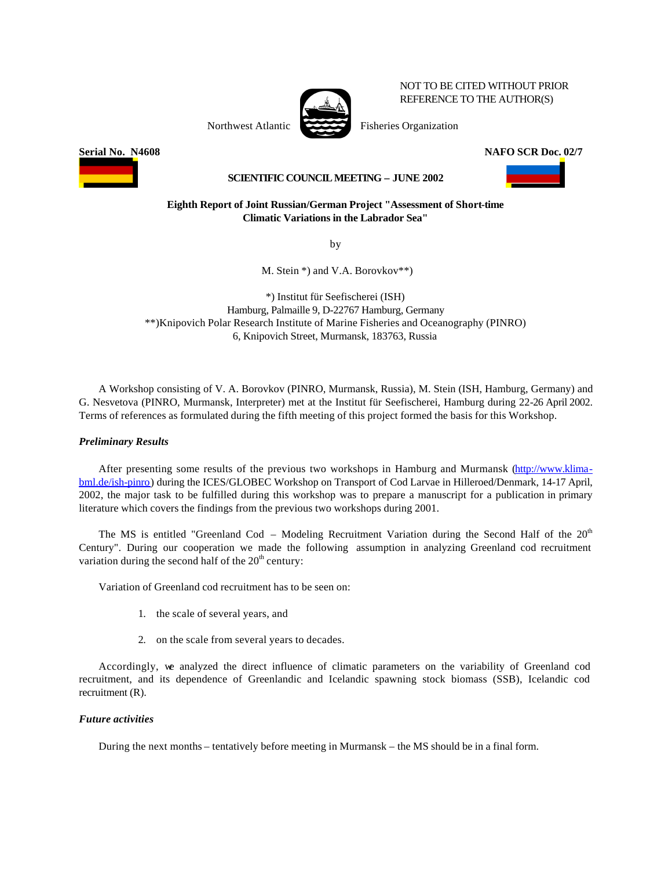

NOT TO BE CITED WITHOUT PRIOR REFERENCE TO THE AUTHOR(S)

Northwest Atlantic Fisheries Organization

**Serial No. N4608 NAFO SCR Doc. 02/7**



## **SCIENTIFIC COUNCIL MEETING – JUNE 2002**

### **Eighth Report of Joint Russian/German Project "Assessment of Short-time Climatic Variations in the Labrador Sea"**

by

M. Stein \*) and V.A. Borovkov\*\*)

\*) Institut für Seefischerei (ISH) Hamburg, Palmaille 9, D-22767 Hamburg, Germany \*\*)Knipovich Polar Research Institute of Marine Fisheries and Oceanography (PINRO) 6, Knipovich Street, Murmansk, 183763, Russia

A Workshop consisting of V. A. Borovkov (PINRO, Murmansk, Russia), M. Stein (ISH, Hamburg, Germany) and G. Nesvetova (PINRO, Murmansk, Interpreter) met at the Institut für Seefischerei, Hamburg during 22-26 April 2002. Terms of references as formulated during the fifth meeting of this project formed the basis for this Workshop.

# *Preliminary Results*

After presenting some results of the previous two workshops in Hamburg and Murmansk (http://www.klima[bml.de/ish-pinro\) during the ICES/GLOBEC Workshop on Transport of Cod Larvae in Hilleroed/Denmark, 14-17 April,](http://www.klimabml.de/ish-pinro) 2002, the major task to be fulfilled during this workshop was to prepare a manuscript for a publication in primary literature which covers the findings from the previous two workshops during 2001.

The MS is entitled "Greenland Cod – Modeling Recruitment Variation during the Second Half of the  $20<sup>th</sup>$ Century". During our cooperation we made the following assumption in analyzing Greenland cod recruitment variation during the second half of the  $20<sup>th</sup>$  century:

Variation of Greenland cod recruitment has to be seen on:

- 1. the scale of several years, and
- 2. on the scale from several years to decades.

Accordingly, we analyzed the direct influence of climatic parameters on the variability of Greenland cod recruitment, and its dependence of Greenlandic and Icelandic spawning stock biomass (SSB), Icelandic cod recruitment (R).

### *Future activities*

During the next months – tentatively before meeting in Murmansk – the MS should be in a final form.